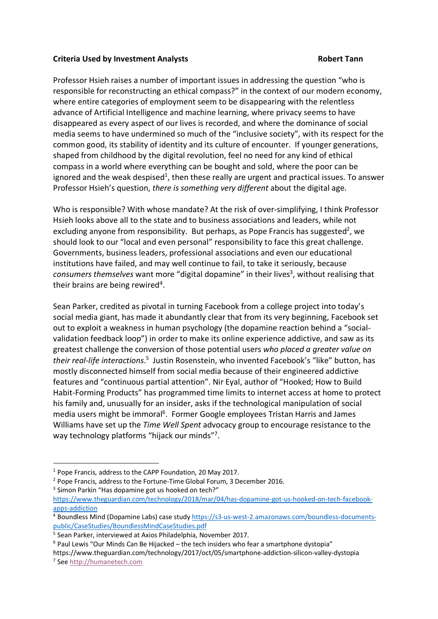## **Criteria Used by Investment Analysts Robert Tann**

Professor Hsieh raises a number of important issues in addressing the question "who is responsible for reconstructing an ethical compass?" in the context of our modern economy, where entire categories of employment seem to be disappearing with the relentless advance of Artificial Intelligence and machine learning, where privacy seems to have disappeared as every aspect of our lives is recorded, and where the dominance of social media seems to have undermined so much of the "inclusive society", with its respect for the common good, its stability of identity and its culture of encounter. If younger generations, shaped from childhood by the digital revolution, feel no need for any kind of ethical compass in a world where everything can be bought and sold, where the poor can be ignored and the weak despised<sup>1</sup>, then these really are urgent and practical issues. To answer Professor Hsieh's question, *there is something very different* about the digital age.

Who is responsible? With whose mandate? At the risk of over-simplifying, I think Professor Hsieh looks above all to the state and to business associations and leaders, while not excluding anyone from responsibility. But perhaps, as Pope Francis has suggested<sup>2</sup>, we should look to our "local and even personal" responsibility to face this great challenge. Governments, business leaders, professional associations and even our educational institutions have failed, and may well continue to fail, to take it seriously, because consumers themselves want more "digital dopamine" in their lives<sup>3</sup>, without realising that their brains are being rewired<sup>4</sup>.

Sean Parker, credited as pivotal in turning Facebook from a college project into today's social media giant, has made it abundantly clear that from its very beginning, Facebook set out to exploit a weakness in human psychology (the dopamine reaction behind a "socialvalidation feedback loop") in order to make its online experience addictive, and saw as its greatest challenge the conversion of those potential users *who placed a greater value on*  their real-life interactions.<sup>5</sup> Justin Rosenstein, who invented Facebook's "like" button, has mostly disconnected himself from social media because of their engineered addictive features and "continuous partial attention". Nir Eyal, author of "Hooked; How to Build Habit-Forming Products" has programmed time limits to internet access at home to protect his family and, unusually for an insider, asks if the technological manipulation of social media users might be immoral<sup>6</sup>. Former Google employees Tristan Harris and James Williams have set up the *Time Well Spent* advocacy group to encourage resistance to the way technology platforms "hijack our minds"7.

 <sup>1</sup> Pope Francis, address to the CAPP Foundation, 20 May 2017.

<sup>2</sup> Pope Francis, address to the Fortune-Time Global Forum, 3 December 2016. <sup>3</sup> Simon Parkin "Has dopamine got us hooked on tech?"

https://www.theguardian.com/technology/2018/mar/04/has-dopamine-got-us-hooked-on-tech-facebookapps-addiction

<sup>4</sup> Boundless Mind (Dopamine Labs) case study https://s3-us-west-2.amazonaws.com/boundless-documentspublic/CaseStudies/BoundlessMindCaseStudies.pdf

<sup>5</sup> Sean Parker, interviewed at Axios Philadelphia, November 2017.

 $6$  Paul Lewis "Our Minds Can Be Hijacked – the tech insiders who fear a smartphone dystopia"

https://www.theguardian.com/technology/2017/oct/05/smartphone-addiction-silicon-valley-dystopia

<sup>7</sup> See http://humanetech.com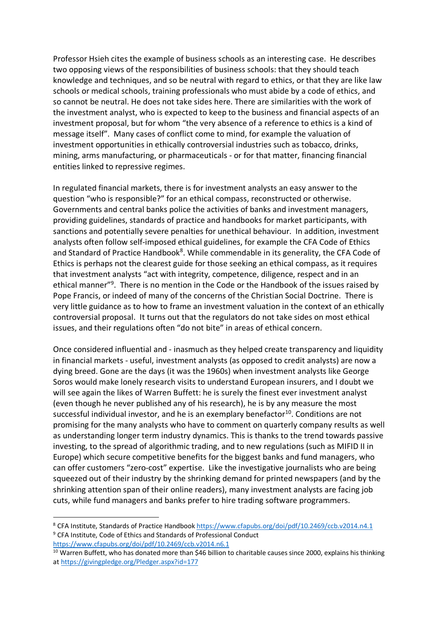Professor Hsieh cites the example of business schools as an interesting case. He describes two opposing views of the responsibilities of business schools: that they should teach knowledge and techniques, and so be neutral with regard to ethics, or that they are like law schools or medical schools, training professionals who must abide by a code of ethics, and so cannot be neutral. He does not take sides here. There are similarities with the work of the investment analyst, who is expected to keep to the business and financial aspects of an investment proposal, but for whom "the very absence of a reference to ethics is a kind of message itself". Many cases of conflict come to mind, for example the valuation of investment opportunities in ethically controversial industries such as tobacco, drinks, mining, arms manufacturing, or pharmaceuticals - or for that matter, financing financial entities linked to repressive regimes.

In regulated financial markets, there is for investment analysts an easy answer to the question "who is responsible?" for an ethical compass, reconstructed or otherwise. Governments and central banks police the activities of banks and investment managers, providing guidelines, standards of practice and handbooks for market participants, with sanctions and potentially severe penalties for unethical behaviour. In addition, investment analysts often follow self-imposed ethical guidelines, for example the CFA Code of Ethics and Standard of Practice Handbook<sup>8</sup>. While commendable in its generality, the CFA Code of Ethics is perhaps not the clearest guide for those seeking an ethical compass, as it requires that investment analysts "act with integrity, competence, diligence, respect and in an ethical manner"<sup>9</sup>. There is no mention in the Code or the Handbook of the issues raised by Pope Francis, or indeed of many of the concerns of the Christian Social Doctrine. There is very little guidance as to how to frame an investment valuation in the context of an ethically controversial proposal. It turns out that the regulators do not take sides on most ethical issues, and their regulations often "do not bite" in areas of ethical concern.

Once considered influential and - inasmuch as they helped create transparency and liquidity in financial markets - useful, investment analysts (as opposed to credit analysts) are now a dying breed. Gone are the days (it was the 1960s) when investment analysts like George Soros would make lonely research visits to understand European insurers, and I doubt we will see again the likes of Warren Buffett: he is surely the finest ever investment analyst (even though he never published any of his research), he is by any measure the most successful individual investor, and he is an exemplary benefactor<sup>10</sup>. Conditions are not promising for the many analysts who have to comment on quarterly company results as well as understanding longer term industry dynamics. This is thanks to the trend towards passive investing, to the spread of algorithmic trading, and to new regulations (such as MIFID II in Europe) which secure competitive benefits for the biggest banks and fund managers, who can offer customers "zero-cost" expertise. Like the investigative journalists who are being squeezed out of their industry by the shrinking demand for printed newspapers (and by the shrinking attention span of their online readers), many investment analysts are facing job cuts, while fund managers and banks prefer to hire trading software programmers.

<sup>&</sup>lt;sup>8</sup> CFA Institute, Standards of Practice Handbook https://www.cfapubs.org/doi/pdf/10.2469/ccb.v2014.n4.1 <sup>9</sup> CFA Institute, Code of Ethics and Standards of Professional Conduct https://www.cfapubs.org/doi/pdf/10.2469/ccb.v2014.n6.1

<sup>&</sup>lt;sup>10</sup> Warren Buffett, who has donated more than \$46 billion to charitable causes since 2000, explains his thinking at https://givingpledge.org/Pledger.aspx?id=177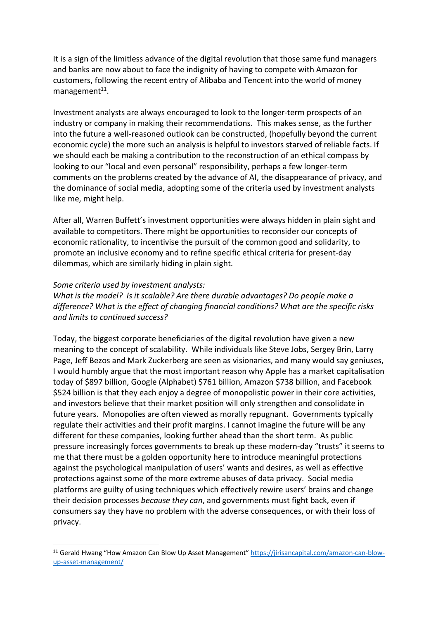It is a sign of the limitless advance of the digital revolution that those same fund managers and banks are now about to face the indignity of having to compete with Amazon for customers, following the recent entry of Alibaba and Tencent into the world of money management $11$ .

Investment analysts are always encouraged to look to the longer-term prospects of an industry or company in making their recommendations. This makes sense, as the further into the future a well-reasoned outlook can be constructed, (hopefully beyond the current economic cycle) the more such an analysis is helpful to investors starved of reliable facts. If we should each be making a contribution to the reconstruction of an ethical compass by looking to our "local and even personal" responsibility, perhaps a few longer-term comments on the problems created by the advance of AI, the disappearance of privacy, and the dominance of social media, adopting some of the criteria used by investment analysts like me, might help.

After all, Warren Buffett's investment opportunities were always hidden in plain sight and available to competitors. There might be opportunities to reconsider our concepts of economic rationality, to incentivise the pursuit of the common good and solidarity, to promote an inclusive economy and to refine specific ethical criteria for present-day dilemmas, which are similarly hiding in plain sight.

## *Some criteria used by investment analysts:*

*What is the model? Is it scalable? Are there durable advantages? Do people make a difference? What is the effect of changing financial conditions? What are the specific risks and limits to continued success?*

Today, the biggest corporate beneficiaries of the digital revolution have given a new meaning to the concept of scalability. While individuals like Steve Jobs, Sergey Brin, Larry Page, Jeff Bezos and Mark Zuckerberg are seen as visionaries, and many would say geniuses, I would humbly argue that the most important reason why Apple has a market capitalisation today of \$897 billion, Google (Alphabet) \$761 billion, Amazon \$738 billion, and Facebook \$524 billion is that they each enjoy a degree of monopolistic power in their core activities, and investors believe that their market position will only strengthen and consolidate in future years. Monopolies are often viewed as morally repugnant. Governments typically regulate their activities and their profit margins. I cannot imagine the future will be any different for these companies, looking further ahead than the short term. As public pressure increasingly forces governments to break up these modern-day "trusts" it seems to me that there must be a golden opportunity here to introduce meaningful protections against the psychological manipulation of users' wants and desires, as well as effective protections against some of the more extreme abuses of data privacy. Social media platforms are guilty of using techniques which effectively rewire users' brains and change their decision processes *because they can*, and governments must fight back, even if consumers say they have no problem with the adverse consequences, or with their loss of privacy.

<sup>&</sup>lt;sup>11</sup> Gerald Hwang "How Amazon Can Blow Up Asset Management" https://jirisancapital.com/amazon-can-blowup-asset-management/